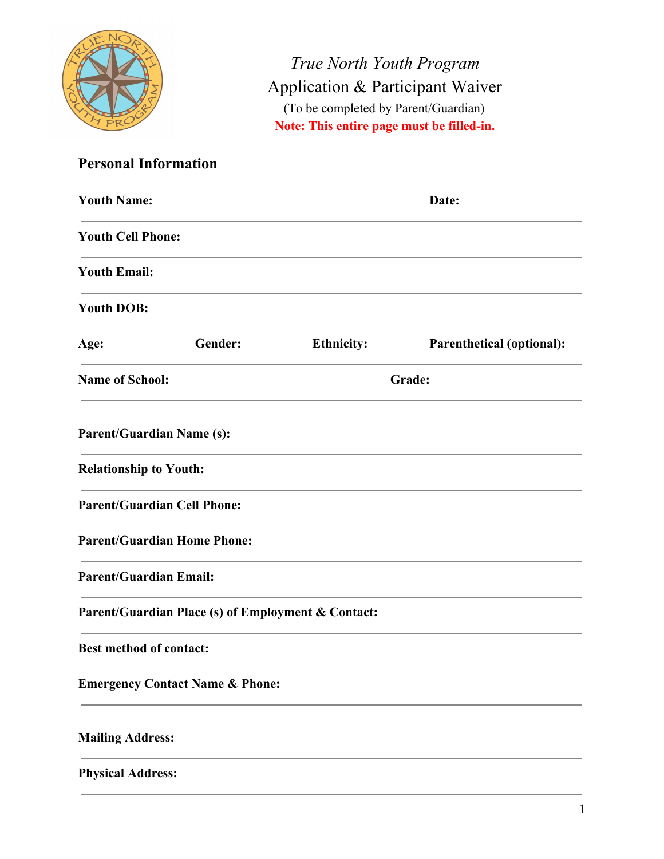

*True North Youth Program* Application & Participant Waiver (To be completed by Parent/Guardian) **Note: This entire page must be filled-in.**

# **Personal Information**

| <b>Youth Name:</b>                                 |         |                   | Date:                            |
|----------------------------------------------------|---------|-------------------|----------------------------------|
| <b>Youth Cell Phone:</b>                           |         |                   |                                  |
| <b>Youth Email:</b>                                |         |                   |                                  |
| <b>Youth DOB:</b>                                  |         |                   |                                  |
| Age:                                               | Gender: | <b>Ethnicity:</b> | <b>Parenthetical (optional):</b> |
| <b>Name of School:</b><br>Grade:                   |         |                   |                                  |
| <b>Parent/Guardian Name (s):</b>                   |         |                   |                                  |
| <b>Relationship to Youth:</b>                      |         |                   |                                  |
| <b>Parent/Guardian Cell Phone:</b>                 |         |                   |                                  |
| <b>Parent/Guardian Home Phone:</b>                 |         |                   |                                  |
| <b>Parent/Guardian Email:</b>                      |         |                   |                                  |
| Parent/Guardian Place (s) of Employment & Contact: |         |                   |                                  |
| <b>Best method of contact:</b>                     |         |                   |                                  |
| <b>Emergency Contact Name &amp; Phone:</b>         |         |                   |                                  |
| <b>Mailing Address:</b>                            |         |                   |                                  |
| <b>Physical Address:</b>                           |         |                   |                                  |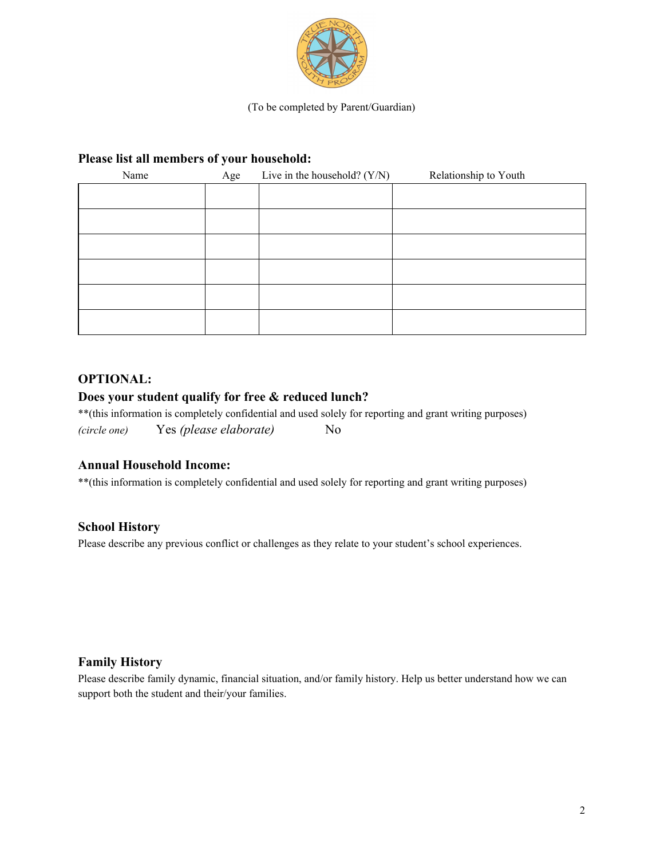

(To be completed by Parent/Guardian)

# **Please list all members of your household:**

| Name | Age | Live in the household? $(Y/N)$ | Relationship to Youth |
|------|-----|--------------------------------|-----------------------|
|      |     |                                |                       |
|      |     |                                |                       |
|      |     |                                |                       |
|      |     |                                |                       |
|      |     |                                |                       |
|      |     |                                |                       |

## **OPTIONAL:**

## **Does your student qualify for free & reduced lunch?**

\*\*(this information is completely confidential and used solely for reporting and grant writing purposes) *(circle one)* Yes *(please elaborate)* No

#### **Annual Household Income:**

\*\*(this information is completely confidential and used solely for reporting and grant writing purposes)

#### **School History**

Please describe any previous conflict or challenges as they relate to your student's school experiences.

#### **Family History**

Please describe family dynamic, financial situation, and/or family history. Help us better understand how we can support both the student and their/your families.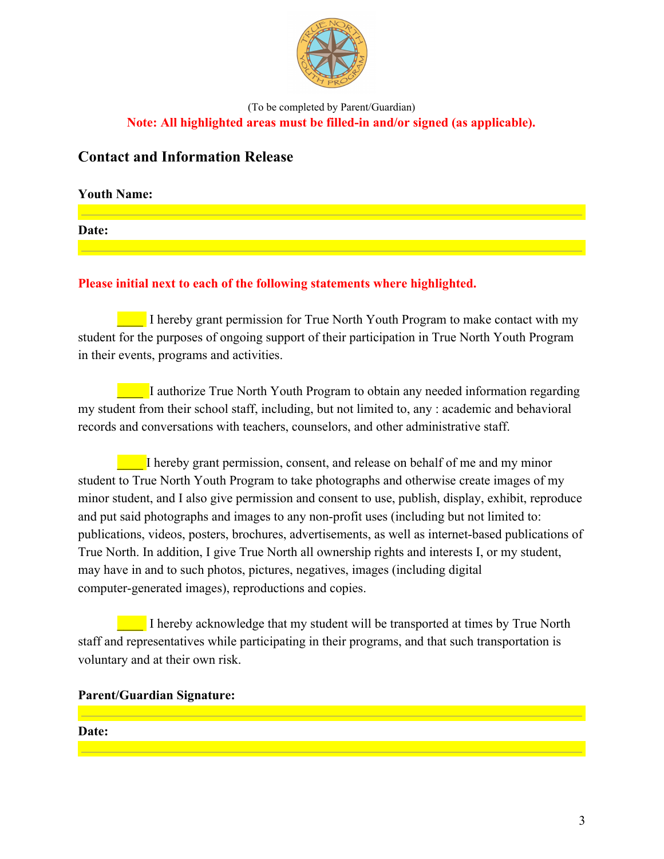

(To be completed by Parent/Guardian) **Note: All highlighted areas must be filled-in and/or signed (as applicable).**

# **Contact and Information Release**

**Youth Name:**

**Date:**

# **Please initial next to each of the following statements where highlighted.**

**Thereby grant permission for True North Youth Program to make contact with my** student for the purposes of ongoing support of their participation in True North Youth Program in their events, programs and activities.

\_\_\_\_ I authorize True North Youth Program to obtain any needed information regarding my student from their school staff, including, but not limited to, any : academic and behavioral records and conversations with teachers, counselors, and other administrative staff.

I hereby grant permission, consent, and release on behalf of me and my minor student to True North Youth Program to take photographs and otherwise create images of my minor student, and I also give permission and consent to use, publish, display, exhibit, reproduce and put said photographs and images to any non-profit uses (including but not limited to: publications, videos, posters, brochures, advertisements, as well as internet-based publications of True North. In addition, I give True North all ownership rights and interests I, or my student, may have in and to such photos, pictures, negatives, images (including digital computer-generated images), reproductions and copies.

**EXECUTE:** I hereby acknowledge that my student will be transported at times by True North staff and representatives while participating in their programs, and that such transportation is voluntary and at their own risk.

#### **Parent/Guardian Signature:**

#### **Date:**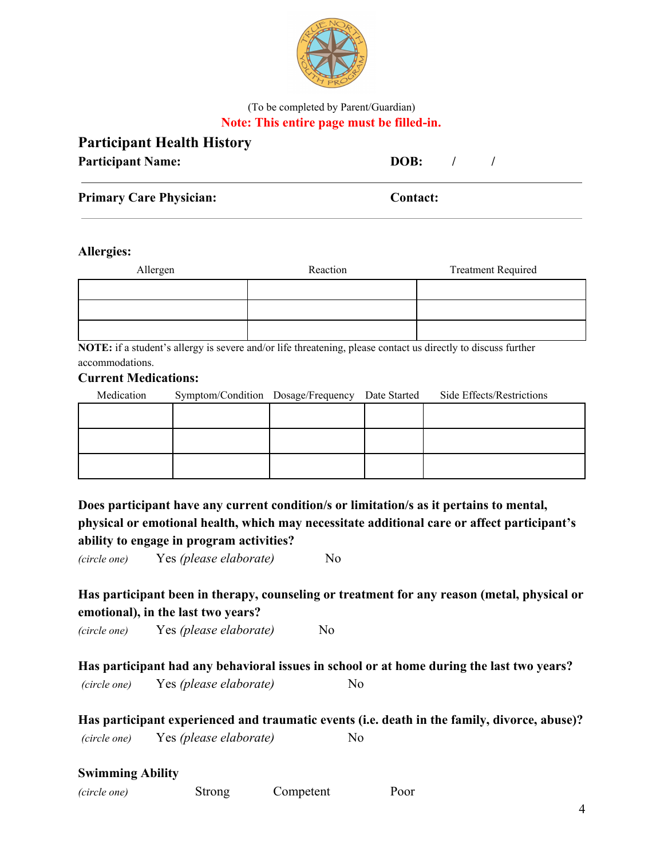

## (To be completed by Parent/Guardian) **Note: This entire page must be filled-in.**

| <b>Participant Health History</b> |                                  |  |
|-----------------------------------|----------------------------------|--|
| <b>Participant Name:</b>          | DOB:<br>$\overline{\phantom{a}}$ |  |
| <b>Primary Care Physician:</b>    | <b>Contact:</b>                  |  |
|                                   |                                  |  |

#### **Allergies:**

| Allergen | Reaction | <b>Treatment Required</b> |
|----------|----------|---------------------------|
|          |          |                           |
|          |          |                           |
|          |          |                           |

**NOTE:** if a student's allergy is severe and/or life threatening, please contact us directly to discuss further accommodations.

# **Current Medications:**

| Medication | Symptom/Condition Dosage/Frequency | Date Started | Side Effects/Restrictions |
|------------|------------------------------------|--------------|---------------------------|
|            |                                    |              |                           |
|            |                                    |              |                           |
|            |                                    |              |                           |
|            |                                    |              |                           |
|            |                                    |              |                           |

**Does participant have any current condition/s or limitation/s as it pertains to mental, physical or emotional health, which may necessitate additional care or affect participant's ability to engage in program activities?**

*(circle one)* Yes *(please elaborate)* No

# **Has participant been in therapy, counseling or treatment for any reason (metal, physical or emotional), in the last two years?**

*(circle one)* Yes *(please elaborate)* No

**Has participant had any behavioral issues in school or at home during the last two years?** *(circle one)* Yes *(please elaborate)* No

**Has participant experienced and traumatic events (i.e. death in the family, divorce, abuse)?** *(circle one)* Yes *(please elaborate)* No

#### **Swimming Ability**

| (circle one) | Strong | Competent | Poor |
|--------------|--------|-----------|------|
|              |        |           |      |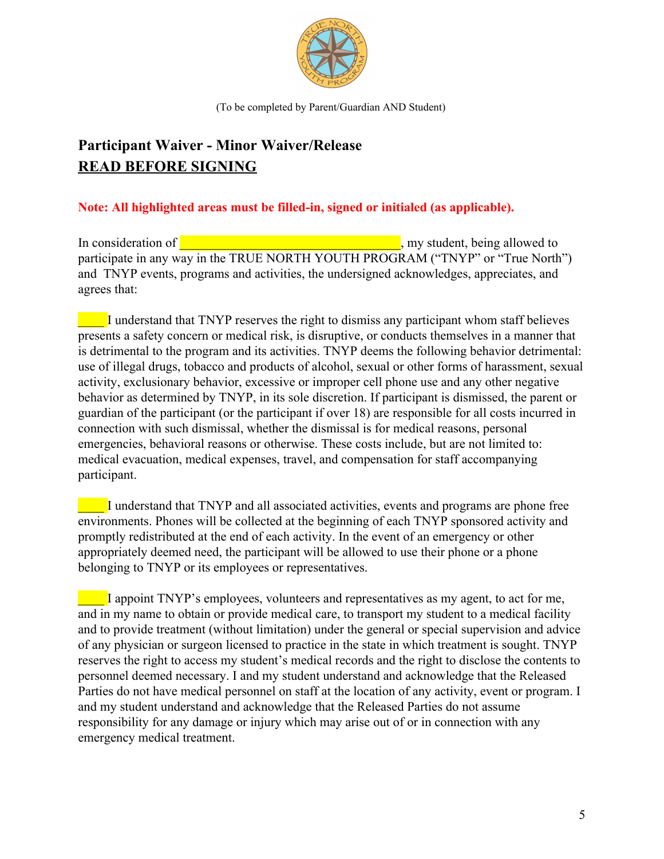

(To be completed by Parent/Guardian AND Student)

# **Participant Waiver - Minor Waiver/Release READ BEFORE SIGNING**

# **Note: All highlighted areas must be filled-in, signed or initialed (as applicable).**

In consideration of  $\blacksquare$ participate in any way in the TRUE NORTH YOUTH PROGRAM ("TNYP" or "True North") and TNYP events, programs and activities, the undersigned acknowledges, appreciates, and agrees that:

\_\_\_\_ I understand that TNYP reserves the right to dismiss any participant whom staff believes presents a safety concern or medical risk, is disruptive, or conducts themselves in a manner that is detrimental to the program and its activities. TNYP deems the following behavior detrimental: use of illegal drugs, tobacco and products of alcohol, sexual or other forms of harassment, sexual activity, exclusionary behavior, excessive or improper cell phone use and any other negative behavior as determined by TNYP, in its sole discretion. If participant is dismissed, the parent or guardian of the participant (or the participant if over 18) are responsible for all costs incurred in connection with such dismissal, whether the dismissal is for medical reasons, personal emergencies, behavioral reasons or otherwise. These costs include, but are not limited to: medical evacuation, medical expenses, travel, and compensation for staff accompanying participant.

\_\_\_\_ I understand that TNYP and all associated activities, events and programs are phone free environments. Phones will be collected at the beginning of each TNYP sponsored activity and promptly redistributed at the end of each activity. In the event of an emergency or other appropriately deemed need, the participant will be allowed to use their phone or a phone belonging to TNYP or its employees or representatives.

\_\_\_\_ I appoint TNYP's employees, volunteers and representatives as my agent, to act for me, and in my name to obtain or provide medical care, to transport my student to a medical facility and to provide treatment (without limitation) under the general or special supervision and advice of any physician or surgeon licensed to practice in the state in which treatment is sought. TNYP reserves the right to access my student's medical records and the right to disclose the contents to personnel deemed necessary. I and my student understand and acknowledge that the Released Parties do not have medical personnel on staff at the location of any activity, event or program. I and my student understand and acknowledge that the Released Parties do not assume responsibility for any damage or injury which may arise out of or in connection with any emergency medical treatment.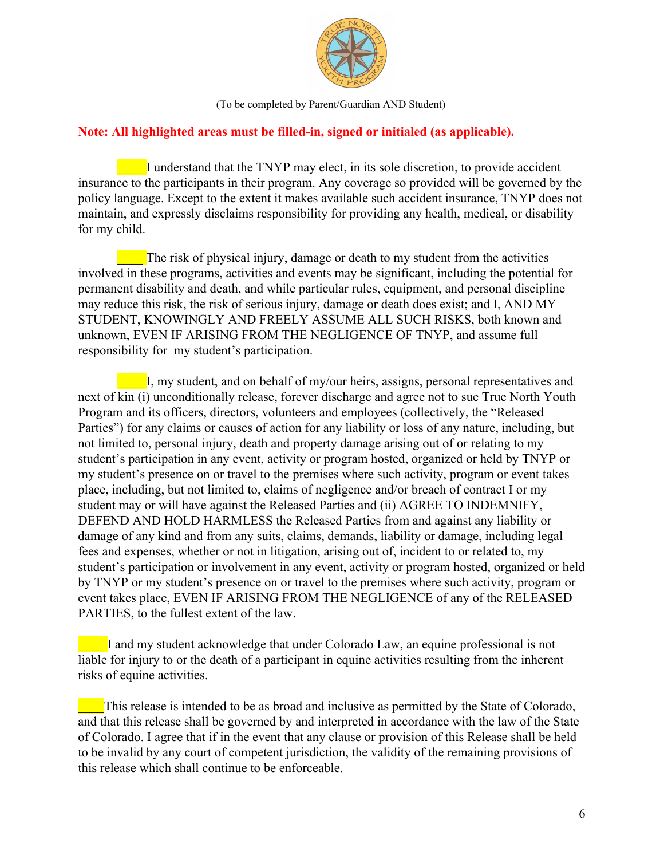

(To be completed by Parent/Guardian AND Student)

# **Note: All highlighted areas must be filled-in, signed or initialed (as applicable).**

\_\_\_\_ I understand that the TNYP may elect, in its sole discretion, to provide accident insurance to the participants in their program. Any coverage so provided will be governed by the policy language. Except to the extent it makes available such accident insurance, TNYP does not maintain, and expressly disclaims responsibility for providing any health, medical, or disability for my child.

The risk of physical injury, damage or death to my student from the activities involved in these programs, activities and events may be significant, including the potential for permanent disability and death, and while particular rules, equipment, and personal discipline may reduce this risk, the risk of serious injury, damage or death does exist; and I, AND MY STUDENT, KNOWINGLY AND FREELY ASSUME ALL SUCH RISKS, both known and unknown, EVEN IF ARISING FROM THE NEGLIGENCE OF TNYP, and assume full responsibility for my student's participation.

**EXECUTE:** I, my student, and on behalf of my/our heirs, assigns, personal representatives and next of kin (i) unconditionally release, forever discharge and agree not to sue True North Youth Program and its officers, directors, volunteers and employees (collectively, the "Released Parties") for any claims or causes of action for any liability or loss of any nature, including, but not limited to, personal injury, death and property damage arising out of or relating to my student's participation in any event, activity or program hosted, organized or held by TNYP or my student's presence on or travel to the premises where such activity, program or event takes place, including, but not limited to, claims of negligence and/or breach of contract I or my student may or will have against the Released Parties and (ii) AGREE TO INDEMNIFY, DEFEND AND HOLD HARMLESS the Released Parties from and against any liability or damage of any kind and from any suits, claims, demands, liability or damage, including legal fees and expenses, whether or not in litigation, arising out of, incident to or related to, my student's participation or involvement in any event, activity or program hosted, organized or held by TNYP or my student's presence on or travel to the premises where such activity, program or event takes place, EVEN IF ARISING FROM THE NEGLIGENCE of any of the RELEASED PARTIES, to the fullest extent of the law.

I and my student acknowledge that under Colorado Law, an equine professional is not liable for injury to or the death of a participant in equine activities resulting from the inherent risks of equine activities.

This release is intended to be as broad and inclusive as permitted by the State of Colorado, and that this release shall be governed by and interpreted in accordance with the law of the State of Colorado. I agree that if in the event that any clause or provision of this Release shall be held to be invalid by any court of competent jurisdiction, the validity of the remaining provisions of this release which shall continue to be enforceable.